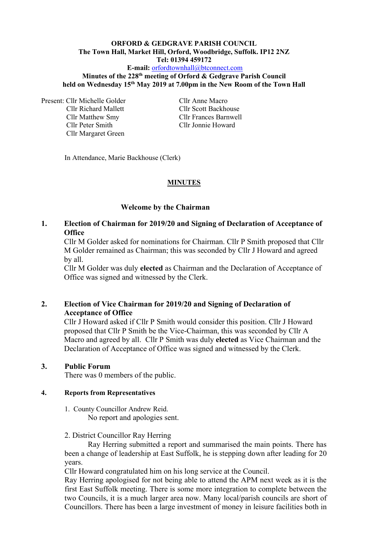# **ORFORD & GEDGRAVE PARISH COUNCIL The Town Hall, Market Hill, Orford, Woodbridge, Suffolk. IP12 2NZ Tel: 01394 459172 E-mail:** [orfordtownhall@btconnect.com](mailto:orfordtownhall@btconnect.com)

### **Minutes of the 228 th meeting of Orford & Gedgrave Parish Council held on Wednesday 15 th May 2019 at 7.00pm in the New Room of the Town Hall**

Present: Cllr Michelle Golder Cllr Anne Macro Cllr Richard Mallett Cllr Scott Backhouse Cllr Peter Smith Cllr Jonnie Howard Cllr Margaret Green

Cllr Matthew Smy Cllr Frances Barnwell

In Attendance, Marie Backhouse (Clerk)

# **MINUTES**

#### **Welcome by the Chairman**

# **1. Election of Chairman for 2019/20 and Signing of Declaration of Acceptance of Office**

Cllr M Golder asked for nominations for Chairman. Cllr P Smith proposed that Cllr M Golder remained as Chairman; this was seconded by Cllr J Howard and agreed by all.

Cllr M Golder was duly **elected** as Chairman and the Declaration of Acceptance of Office was signed and witnessed by the Clerk.

# **2. Election of Vice Chairman for 2019/20 and Signing of Declaration of Acceptance of Office**

Cllr J Howard asked if Cllr P Smith would consider this position. Cllr J Howard proposed that Cllr P Smith be the Vice-Chairman, this was seconded by Cllr A Macro and agreed by all.Cllr P Smith was duly **elected** as Vice Chairman and the Declaration of Acceptance of Office was signed and witnessed by the Clerk.

#### **3. Public Forum**

There was 0 members of the public.

#### **4. Reports from Representatives**

- 1. County Councillor Andrew Reid. No report and apologies sent.
- 2. District Councillor Ray Herring

Ray Herring submitted a report and summarised the main points. There has been a change of leadership at East Suffolk, he is stepping down after leading for 20 years.

Cllr Howard congratulated him on his long service at the Council.

Ray Herring apologised for not being able to attend the APM next week as it is the first East Suffolk meeting. There is some more integration to complete between the two Councils, it is a much larger area now. Many local/parish councils are short of Councillors. There has been a large investment of money in leisure facilities both in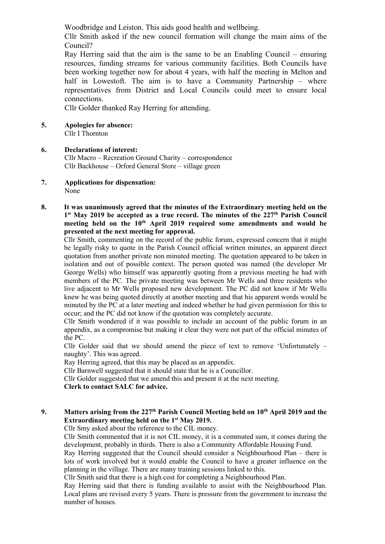Woodbridge and Leiston. This aids good health and wellbeing.

Cllr Smith asked if the new council formation will change the main aims of the Council?

Ray Herring said that the aim is the same to be an Enabling Council – ensuring resources, funding streams for various community facilities. Both Councils have been working together now for about 4 years, with half the meeting in Melton and half in Lowestoft. The aim is to have a Community Partnership – where representatives from District and Local Councils could meet to ensure local connections.

Cllr Golder thanked Ray Herring for attending.

**5. Apologies for absence:**

Cllr I Thornton

#### **6. Declarations of interest:** Cllr Macro – Recreation Ground Charity – correspondence Cllr Backhouse – Orford General Store – village green

**7. Applications for dispensation:** None

### **8. It was unanimously agreed that the minutes of the Extraordinary meeting held on the 1 st May 2019 be accepted as a true record. The minutes of the 227th Parish Council meeting held on the 10th April 2019 required some amendments and would be presented at the next meeting for approval.**

Cllr Smith, commenting on the record of the public forum, expressed concern that it might be legally risky to quote in the Parish Council official written minutes, an apparent direct quotation from another private non minuted meeting. The quotation appeared to be taken in isolation and out of possible context. The person quoted was named (the developer Mr George Wells) who himself was apparently quoting from a previous meeting he had with members of the PC. The private meeting was between Mr Wells and three residents who live adjacent to Mr Wells proposed new development. The PC did not know if Mr Wells knew he was being quoted directly at another meeting and that his apparent words would be minuted by the PC at a later meeting and indeed whether he had given permission for this to occur; and the PC did not know if the quotation was completely accurate.

Cllr Smith wondered if it was possible to include an account of the public forum in an appendix, as a compromise but making it clear they were not part of the official minutes of the PC.

Cllr Golder said that we should amend the piece of text to remove 'Unfortunately – naughty'. This was agreed.

Ray Herring agreed, that this may be placed as an appendix.

Cllr Barnwell suggested that it should state that he is a Councillor.

Cllr Golder suggested that we amend this and present it at the next meeting.

**Clerk to contact SALC for advice.**

# **9. Matters arising from the 227 th Parish Council Meeting held on 10 th April 2019 and the Extraordinary meeting held on the 1st May 2019.**

Cllr Smy asked about the reference to the CIL money.

Cllr Smith commented that it is not CIL money, it is a commuted sum, it comes during the development, probably in thirds. There is also a Community Affordable Housing Fund.

Ray Herring suggested that the Council should consider a Neighbourhood Plan – there is lots of work involved but it would enable the Council to have a greater influence on the planning in the village. There are many training sessions linked to this.

Cllr Smith said that there is a high cost for completing a Neighbourhood Plan.

Ray Herring said that there is funding available to assist with the Neighbourhood Plan. Local plans are revised every 5 years. There is pressure from the government to increase the number of houses.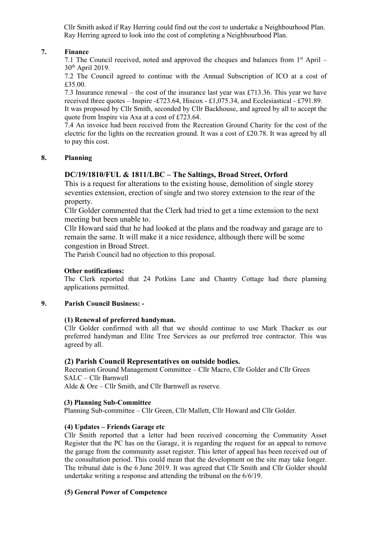Cllr Smith asked if Ray Herring could find out the cost to undertake a Neighbourhood Plan. Ray Herring agreed to look into the cost of completing a Neighbourhood Plan.

## **7. Finance**

7.1 The Council received, noted and approved the cheques and balances from  $1<sup>st</sup>$  April – 30th April 2019.

7.2 The Council agreed to continue with the Annual Subscription of ICO at a cost of £35.00.

7.3 Insurance renewal – the cost of the insurance last year was £713.36. This year we have received three quotes – Inspire -£723.64, Hiscox - £1,075.34, and Ecclesiastical - £791.89. It was proposed by Cllr Smith, seconded by Cllr Backhouse, and agreed by all to accept the quote from Inspire via Axa at a cost of £723.64.

7.4 An invoice had been received from the Recreation Ground Charity for the cost of the electric for the lights on the recreation ground. It was a cost of £20.78. It was agreed by all to pay this cost.

### **8. Planning**

# **DC/19/1810/FUL & 1811/LBC – The Saltings, Broad Street, Orford**

This is a request for alterations to the existing house, demolition of single storey seventies extension, erection of single and two storey extension to the rear of the property.

Cllr Golder commented that the Clerk had tried to get a time extension to the next meeting but been unable to.

Cllr Howard said that he had looked at the plans and the roadway and garage are to remain the same. It will make it a nice residence, although there will be some congestion in Broad Street.

The Parish Council had no objection to this proposal.

### **Other notifications:**

The Clerk reported that 24 Potkins Lane and Chantry Cottage had there planning applications permitted.

#### **9. Parish Council Business: -**

#### **(1) Renewal of preferred handyman.**

Cllr Golder confirmed with all that we should continue to use Mark Thacker as our preferred handyman and Elite Tree Services as our preferred tree contractor. This was agreed by all.

#### **(2) Parish Council Representatives on outside bodies.**

Recreation Ground Management Committee – Cllr Macro, Cllr Golder and Cllr Green SALC – Cllr Barnwell

Alde & Ore – Cllr Smith, and Cllr Barnwell as reserve.

#### **(3) Planning Sub-Committee**

Planning Sub-committee – Cllr Green, Cllr Mallett, Cllr Howard and Cllr Golder.

#### **(4) Updates – Friends Garage etc**

Cllr Smith reported that a letter had been received concerning the Community Asset Register that the PC has on the Garage, it is regarding the request for an appeal to remove the garage from the community asset register. This letter of appeal has been received out of the consultation period. This could mean that the development on the site may take longer. The tribunal date is the 6 June 2019. It was agreed that Cllr Smith and Cllr Golder should undertake writing a response and attending the tribunal on the 6/6/19.

### **(5) General Power of Competence**